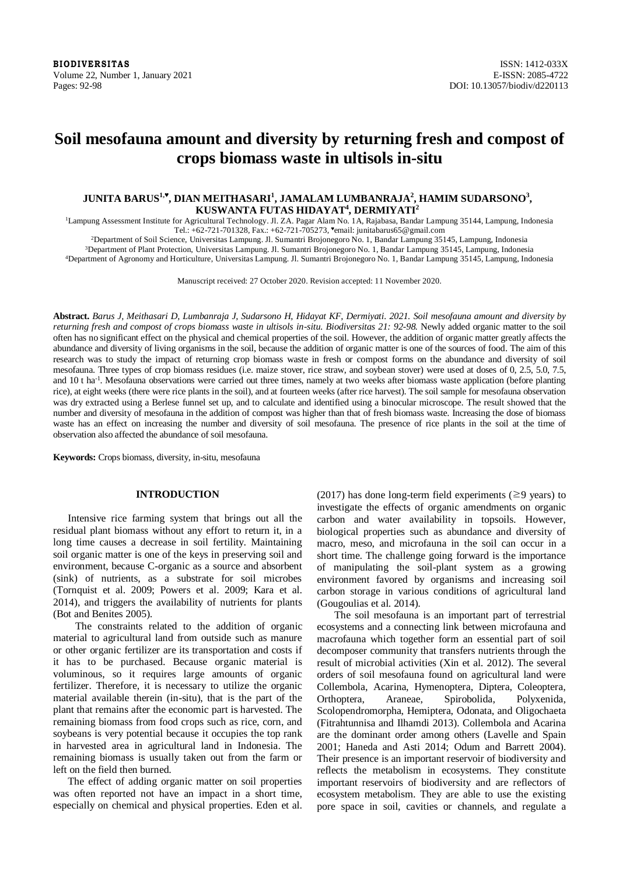**BIODIVERSITAS** ISSN: 1412-033X Volume 22, Number 1, January 2021 **E-ISSN: 2085-4722** Pages: 92-98 DOI: 10.13057/biodiv/d220113

# **Soil mesofauna amount and diversity by returning fresh and compost of crops biomass waste in ultisols in-situ**

# **JUNITA BARUS1,♥ , DIAN MEITHASARI<sup>1</sup> , JAMALAM LUMBANRAJA<sup>2</sup> , HAMIM SUDARSONO<sup>3</sup> , KUSWANTA FUTAS HIDAYAT<sup>4</sup> , DERMIYATI<sup>2</sup>**

<sup>1</sup>Lampung Assessment Institute for Agricultural Technology. Jl. ZA. Pagar Alam No. 1A, Rajabasa, Bandar Lampung 35144, Lampung, Indonesia Tel.: +62-721-701328, Fax.: +62-721-705273, ♥email: junitabarus65@gmail.com

<sup>2</sup>Department of Soil Science, Universitas Lampung. Jl. Sumantri Brojonegoro No. 1, Bandar Lampung 35145, Lampung, Indonesia

<sup>3</sup>Department of Plant Protection, Universitas Lampung. Jl. Sumantri Brojonegoro No. 1, Bandar Lampung 35145, Lampung, Indonesia <sup>4</sup>Department of Agronomy and Horticulture, Universitas Lampung. Jl. Sumantri Brojonegoro No. 1, Bandar Lampung 35145, Lampung, Indonesia

Manuscript received: 27 October 2020. Revision accepted: 11 November 2020.

**Abstract.** *Barus J, Meithasari D, Lumbanraja J, Sudarsono H, Hidayat KF, Dermiyati. 2021. Soil mesofauna amount and diversity by returning fresh and compost of crops biomass waste in ultisols in-situ. Biodiversitas 21: 92-98.* Newly added organic matter to the soil often has no significant effect on the physical and chemical properties of the soil. However, the addition of organic matter greatly affects the abundance and diversity of living organisms in the soil, because the addition of organic matter is one of the sources of food. The aim of this research was to study the impact of returning crop biomass waste in fresh or compost forms on the abundance and diversity of soil mesofauna. Three types of crop biomass residues (i.e. maize stover, rice straw, and soybean stover) were used at doses of 0, 2.5, 5.0, 7.5, and 10 t ha<sup>-1</sup>. Mesofauna observations were carried out three times, namely at two weeks after biomass waste application (before planting rice), at eight weeks (there were rice plants in the soil), and at fourteen weeks (after rice harvest). The soil sample for mesofauna observation was dry extracted using a Berlese funnel set up, and to calculate and identified using a binocular microscope. The result showed that the number and diversity of mesofauna in the addition of compost was higher than that of fresh biomass waste. Increasing the dose of biomass waste has an effect on increasing the number and diversity of soil mesofauna. The presence of rice plants in the soil at the time of observation also affected the abundance of soil mesofauna.

**Keywords:** Crops biomass, diversity, in-situ, mesofauna

## **INTRODUCTION**

Intensive rice farming system that brings out all the residual plant biomass without any effort to return it, in a long time causes a decrease in soil fertility. Maintaining soil organic matter is one of the keys in preserving soil and environment, because C-organic as a source and absorbent (sink) of nutrients, as a substrate for soil microbes (Tornquist et al. 2009; Powers et al. 2009; Kara et al. 2014), and triggers the availability of nutrients for plants (Bot and Benites 2005).

The constraints related to the addition of organic material to agricultural land from outside such as manure or other organic fertilizer are its transportation and costs if it has to be purchased. Because organic material is voluminous, so it requires large amounts of organic fertilizer. Therefore, it is necessary to utilize the organic material available therein (in-situ), that is the part of the plant that remains after the economic part is harvested. The remaining biomass from food crops such as rice, corn, and soybeans is very potential because it occupies the top rank in harvested area in agricultural land in Indonesia. The remaining biomass is usually taken out from the farm or left on the field then burned.

The effect of adding organic matter on soil properties was often reported not have an impact in a short time, especially on chemical and physical properties. Eden et al. (2017) has done long-term field experiments ( $\geq$ 9 years) to investigate the effects of organic amendments on organic carbon and water availability in topsoils. However, biological properties such as abundance and diversity of macro, meso, and microfauna in the soil can occur in a short time. The challenge going forward is the importance of manipulating the soil-plant system as a growing environment favored by organisms and increasing soil carbon storage in various conditions of agricultural land (Gougoulias et al. 2014).

The soil mesofauna is an important part of terrestrial ecosystems and a connecting link between microfauna and macrofauna which together form an essential part of soil decomposer community that transfers nutrients through the result of microbial activities (Xin et al. 2012). The several orders of soil mesofauna found on agricultural land were Collembola, Acarina, Hymenoptera, Diptera, Coleoptera, Orthoptera, Araneae, Spirobolida, Polyxenida, Scolopendromorpha, Hemiptera, Odonata, and Oligochaeta (Fitrahtunnisa and Ilhamdi 2013). Collembola and Acarina are the dominant order among others (Lavelle and Spain 2001; Haneda and Asti 2014; Odum and Barrett 2004). Their presence is an important reservoir of biodiversity and reflects the metabolism in ecosystems. They constitute important reservoirs of biodiversity and are reflectors of ecosystem metabolism. They are able to use the existing pore space in soil, cavities or channels, and regulate a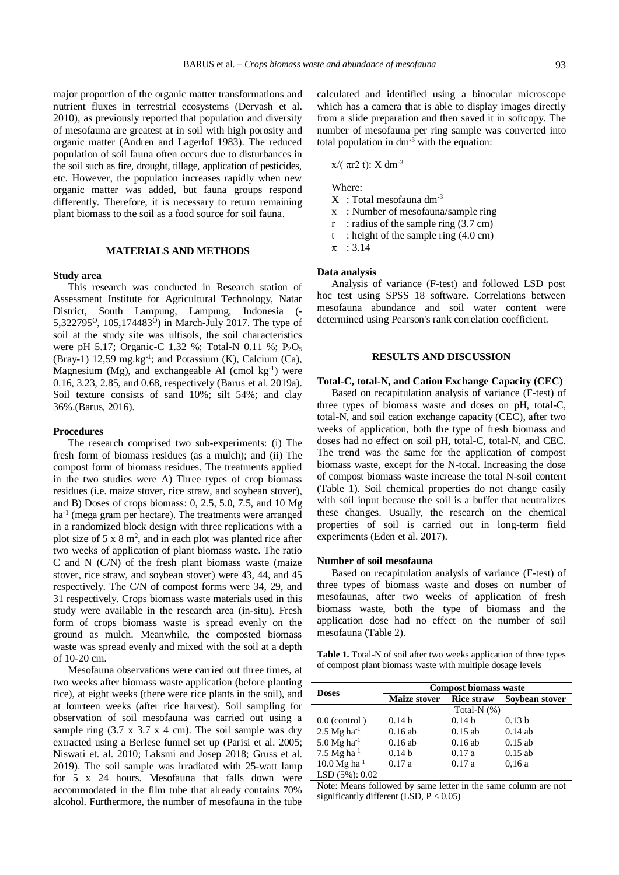major proportion of the organic matter transformations and nutrient fluxes in terrestrial ecosystems (Dervash et al. 2010), as previously reported that population and diversity of mesofauna are greatest at in soil with high porosity and organic matter (Andren and Lagerlof 1983). The reduced population of soil fauna often occurs due to disturbances in the soil such as fire, drought, tillage, application of pesticides, etc. However, the population increases rapidly when new organic matter was added, but fauna groups respond differently. Therefore, it is necessary to return remaining plant biomass to the soil as a food source for soil fauna.

### **MATERIALS AND METHODS**

#### **Study area**

This research was conducted in Research station of Assessment Institute for Agricultural Technology, Natar District, South Lampung, Lampung, Indonesia (- 5,322795<sup>o</sup>, 105,174483<sup>o</sup>) in March-July 2017. The type of soil at the study site was ultisols, the soil characteristics were pH 5.17; Organic-C 1.32 %; Total-N 0.11 %; P<sub>2</sub>O<sub>5</sub> (Bray-1) 12,59 mg.kg<sup>-1</sup>; and Potassium (K), Calcium (Ca), Magnesium (Mg), and exchangeable Al (cmol kg<sup>-1</sup>) were 0.16, 3.23, 2.85, and 0.68, respectively (Barus et al. 2019a). Soil texture consists of sand 10%; silt 54%; and clay 36%.(Barus, 2016).

### **Procedures**

The research comprised two sub-experiments: (i) The fresh form of biomass residues (as a mulch); and (ii) The compost form of biomass residues. The treatments applied in the two studies were A) Three types of crop biomass residues (i.e. maize stover, rice straw, and soybean stover), and B) Doses of crops biomass: 0, 2.5, 5.0, 7.5, and 10 Mg ha<sup>-1</sup> (mega gram per hectare). The treatments were arranged in a randomized block design with three replications with a plot size of  $5 \times 8$  m<sup>2</sup>, and in each plot was planted rice after two weeks of application of plant biomass waste. The ratio C and N (C/N) of the fresh plant biomass waste (maize stover, rice straw, and soybean stover) were 43, 44, and 45 respectively. The C/N of compost forms were 34, 29, and 31 respectively. Crops biomass waste materials used in this study were available in the research area (in-situ). Fresh form of crops biomass waste is spread evenly on the ground as mulch. Meanwhile, the composted biomass waste was spread evenly and mixed with the soil at a depth of 10-20 cm.

Mesofauna observations were carried out three times, at two weeks after biomass waste application (before planting rice), at eight weeks (there were rice plants in the soil), and at fourteen weeks (after rice harvest). Soil sampling for observation of soil mesofauna was carried out using a sample ring  $(3.7 \times 3.7 \times 4 \text{ cm})$ . The soil sample was dry extracted using a Berlese funnel set up (Parisi et al. 2005; Niswati et. al. 2010; Laksmi and Josep 2018; Gruss et al. 2019). The soil sample was irradiated with 25-watt lamp for 5 x 24 hours. Mesofauna that falls down were accommodated in the film tube that already contains 70% alcohol. Furthermore, the number of mesofauna in the tube

calculated and identified using a binocular microscope which has a camera that is able to display images directly from a slide preparation and then saved it in softcopy. The number of mesofauna per ring sample was converted into total population in  $dm^{-3}$  with the equation:

x/( $πr2 t$ ): X dm<sup>-3</sup>

Where:

- X : Total mesofauna dm-3
- x : Number of mesofauna/sample ring
- r : radius of the sample ring  $(3.7 \text{ cm})$
- t : height of the sample ring  $(4.0 \text{ cm})$
- $\pi$  : 3.14

#### **Data analysis**

Analysis of variance (F-test) and followed LSD post hoc test using SPSS 18 software. Correlations between mesofauna abundance and soil water content were determined using Pearson's rank correlation coefficient.

#### **RESULTS AND DISCUSSION**

#### **Total-C, total-N, and Cation Exchange Capacity (CEC)**

Based on recapitulation analysis of variance (F-test) of three types of biomass waste and doses on pH, total-C, total-N, and soil cation exchange capacity (CEC), after two weeks of application, both the type of fresh biomass and doses had no effect on soil pH, total-C, total-N, and CEC. The trend was the same for the application of compost biomass waste, except for the N-total. Increasing the dose of compost biomass waste increase the total N-soil content (Table 1). Soil chemical properties do not change easily with soil input because the soil is a buffer that neutralizes these changes. Usually, the research on the chemical properties of soil is carried out in long-term field experiments (Eden et al. 2017).

#### **Number of soil mesofauna**

Based on recapitulation analysis of variance (F-test) of three types of biomass waste and doses on number of mesofaunas, after two weeks of application of fresh biomass waste, both the type of biomass and the application dose had no effect on the number of soil mesofauna (Table 2).

**Table 1.** Total-N of soil after two weeks application of three types of compost plant biomass waste with multiple dosage levels

| <b>Doses</b>                     | <b>Compost biomass waste</b> |                   |                   |  |  |  |  |
|----------------------------------|------------------------------|-------------------|-------------------|--|--|--|--|
|                                  | <b>Maize stover</b>          | <b>Rice straw</b> | Soybean stover    |  |  |  |  |
|                                  | Total-N $(%)$                |                   |                   |  |  |  |  |
| $0.0$ (control)                  | 0.14 <sub>b</sub>            | 0.14 <sub>b</sub> | 0.13 <sub>b</sub> |  |  |  |  |
| $2.5$ Mg ha <sup>-1</sup>        | $0.16$ ab                    | $0.15$ ab         | $0.14$ ab         |  |  |  |  |
| 5.0 $Mg$ ha <sup>-1</sup>        | $0.16$ ab                    | $0.16$ ab         | $0.15$ ab         |  |  |  |  |
| $7.5 \text{ Mg} \text{ ha}^{-1}$ | 0.14 <sub>b</sub>            | 0.17a             | $0.15$ ab         |  |  |  |  |
| $10.0$ Mg ha <sup>-1</sup>       | 0.17a                        | 0.17a             | 0.16a             |  |  |  |  |
| LSD (5%): 0.02                   |                              |                   |                   |  |  |  |  |

Note: Means followed by same letter in the same column are not significantly different (LSD,  $P < 0.05$ )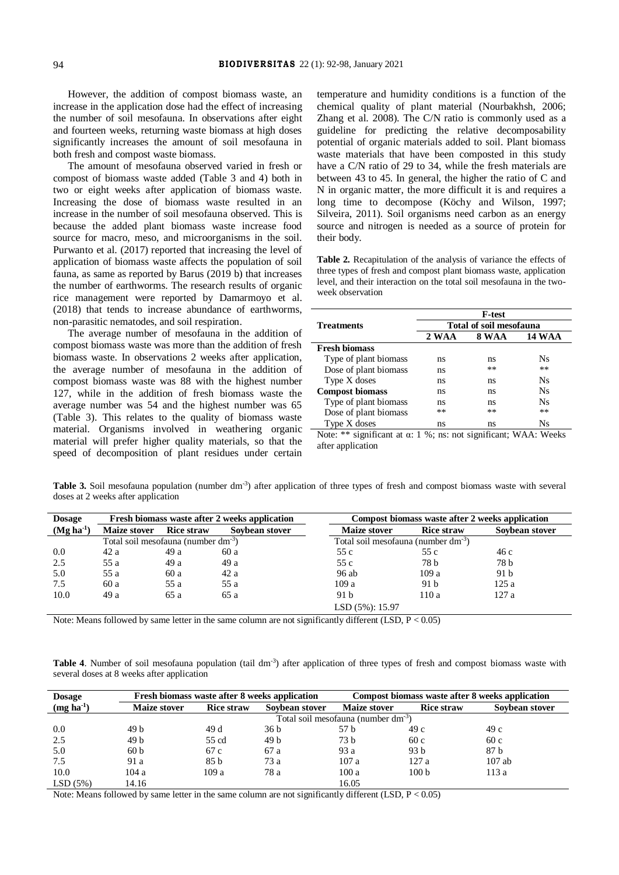However, the addition of compost biomass waste, an increase in the application dose had the effect of increasing the number of soil mesofauna. In observations after eight and fourteen weeks, returning waste biomass at high doses significantly increases the amount of soil mesofauna in both fresh and compost waste biomass.

The amount of mesofauna observed varied in fresh or compost of biomass waste added (Table 3 and 4) both in two or eight weeks after application of biomass waste. Increasing the dose of biomass waste resulted in an increase in the number of soil mesofauna observed. This is because the added plant biomass waste increase food source for macro, meso, and microorganisms in the soil. Purwanto et al. (2017) reported that increasing the level of application of biomass waste affects the population of soil fauna, as same as reported by Barus (2019 b) that increases the number of earthworms. The research results of organic rice management were reported by Damarmoyo et al. (2018) that tends to increase abundance of earthworms, non-parasitic nematodes, and soil respiration.

The average number of mesofauna in the addition of compost biomass waste was more than the addition of fresh biomass waste. In observations 2 weeks after application, the average number of mesofauna in the addition of compost biomass waste was 88 with the highest number 127, while in the addition of fresh biomass waste the average number was 54 and the highest number was 65 (Table 3). This relates to the quality of biomass waste material. Organisms involved in weathering organic material will prefer higher quality materials, so that the speed of decomposition of plant residues under certain

temperature and humidity conditions is a function of the chemical quality of plant material (Nourbakhsh, 2006; Zhang et al. 2008). The C/N ratio is commonly used as a guideline for predicting the relative decomposability potential of organic materials added to soil. Plant biomass waste materials that have been composted in this study have a C/N ratio of 29 to 34, while the fresh materials are between 43 to 45. In general, the higher the ratio of C and N in organic matter, the more difficult it is and requires a long time to decompose (Köchy and Wilson, 1997; Silveira, 2011). Soil organisms need carbon as an energy source and nitrogen is needed as a source of protein for their body.

**Table 2.** Recapitulation of the analysis of variance the effects of three types of fresh and compost plant biomass waste, application level, and their interaction on the total soil mesofauna in the twoweek observation

|                                                                         | <b>F-test</b>                  |              |               |  |  |  |  |
|-------------------------------------------------------------------------|--------------------------------|--------------|---------------|--|--|--|--|
| <b>Treatments</b>                                                       | <b>Total of soil mesofauna</b> |              |               |  |  |  |  |
|                                                                         | 2 WAA                          | <b>8 WAA</b> | <b>14 WAA</b> |  |  |  |  |
| <b>Fresh biomass</b>                                                    |                                |              |               |  |  |  |  |
| Type of plant biomass                                                   | ns                             | ns           | Ns            |  |  |  |  |
| Dose of plant biomass                                                   | ns                             | **           | **            |  |  |  |  |
| Type X doses                                                            | ns                             | ns           | <b>Ns</b>     |  |  |  |  |
| <b>Compost biomass</b>                                                  | ns                             | ns           | <b>Ns</b>     |  |  |  |  |
| Type of plant biomass                                                   | ns                             | ns           | Ns            |  |  |  |  |
| Dose of plant biomass                                                   | **                             | **           | **            |  |  |  |  |
| Type X doses                                                            | ns                             | ns           | Ns            |  |  |  |  |
| Note: ** significant at $\alpha$ : 1 %; ns: not significant; WAA: Weeks |                                |              |               |  |  |  |  |

after application

Table 3. Soil mesofauna population (number dm<sup>-3</sup>) after application of three types of fresh and compost biomass waste with several doses at 2 weeks after application

| <b>Dosage</b> | Fresh biomass waste after 2 weeks application   |                   |                | Compost biomass waste after 2 weeks application |                   |                |  |
|---------------|-------------------------------------------------|-------------------|----------------|-------------------------------------------------|-------------------|----------------|--|
| $(Mg ha-1)$   | <b>Maize stover</b>                             | <b>Rice straw</b> | Sovbean stover | <b>Maize stover</b>                             | <b>Rice straw</b> | Sovbean stover |  |
|               | Total soil mesofauna (number dm <sup>-3</sup> ) |                   |                | Total soil mesofauna (number dm <sup>-3</sup> ) |                   |                |  |
| 0.0           | 42 a                                            | 49 a              | 60 a           | 55 c                                            | 55 c              | 46 c           |  |
| 2.5           | 55 a                                            | 49 a              | 49 a           | 55 c                                            | 78 b              | 78 b           |  |
| 5.0           | 55 a                                            | 60 a              | 42a            | 96 ab                                           | 109a              | 91 b           |  |
| 7.5           | 60a                                             | 55 a              | 55 a           | 109a                                            | 91 b              | 125 a          |  |
| 10.0          | 49 a                                            | 65 a              | 65 a           | 91 b                                            | 110a              | 127 a          |  |
|               | $LSD(5\%):15.97$                                |                   |                |                                                 |                   |                |  |

Note: Means followed by same letter in the same column are not significantly different (LSD, P < 0.05)

Table 4. Number of soil mesofauna population (tail dm<sup>-3</sup>) after application of three types of fresh and compost biomass waste with several doses at 8 weeks after application

| <b>Dosage</b>     | Fresh biomass waste after 8 weeks application |                                                 |                 | Compost biomass waste after 8 weeks application |                   |                |  |  |  |
|-------------------|-----------------------------------------------|-------------------------------------------------|-----------------|-------------------------------------------------|-------------------|----------------|--|--|--|
| $(mg \, ha^{-1})$ | <b>Maize stover</b>                           | <b>Rice straw</b><br>Sovbean stover             |                 | <b>Maize stover</b>                             | <b>Rice straw</b> | Sovbean stover |  |  |  |
|                   |                                               | Total soil mesofauna (number dm <sup>-3</sup> ) |                 |                                                 |                   |                |  |  |  |
| 0.0               | 49 b                                          | 49 d                                            | 36 <sub>b</sub> | 57 b                                            | 49 c              | 49 c           |  |  |  |
| 2.5               | 49 b                                          | 55 cd                                           | 49 h            | 73 h                                            | 60c               | 60c            |  |  |  |
| 5.0               | 60 <sub>b</sub>                               | 67 c                                            | 67 a            | 93 a                                            | 93 b              | 87 b           |  |  |  |
| 7.5               | 91 a                                          | 85 b                                            | 73 a            | 107a                                            | 127a              | $107$ ab       |  |  |  |
| 10.0              | 104a                                          | 109a                                            | 78 a            | 100a                                            | 100 <sub>b</sub>  | 113 a          |  |  |  |
| LSD(5%)           | 14.16                                         |                                                 |                 | 16.05                                           |                   |                |  |  |  |

Note: Means followed by same letter in the same column are not significantly different (LSD, P < 0.05)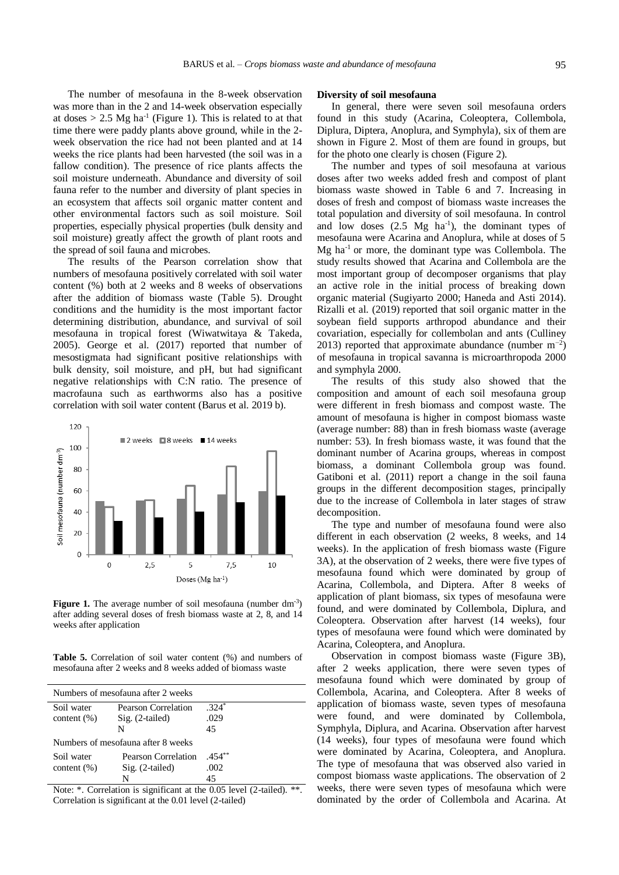The number of mesofauna in the 8-week observation was more than in the 2 and 14-week observation especially at doses  $> 2.5$  Mg ha<sup>-1</sup> (Figure 1). This is related to at that time there were paddy plants above ground, while in the 2 week observation the rice had not been planted and at 14 weeks the rice plants had been harvested (the soil was in a fallow condition). The presence of rice plants affects the soil moisture underneath. Abundance and diversity of soil fauna refer to the number and diversity of plant species in an ecosystem that affects soil organic matter content and other environmental factors such as soil moisture. Soil properties, especially physical properties (bulk density and soil moisture) greatly affect the growth of plant roots and the spread of soil fauna and microbes.

The results of the Pearson correlation show that numbers of mesofauna positively correlated with soil water content (%) both at 2 weeks and 8 weeks of observations after the addition of biomass waste (Table 5). Drought conditions and the humidity is the most important factor determining distribution, abundance, and survival of soil mesofauna in tropical forest (Wiwatwitaya & Takeda, 2005). George et al. (2017) reported that number of mesostigmata had significant positive relationships with bulk density, soil moisture, and pH, but had significant negative relationships with C:N ratio. The presence of macrofauna such as earthworms also has a positive correlation with soil water content (Barus et al. 2019 b).



Figure 1. The average number of soil mesofauna (number dm<sup>-3</sup>) after adding several doses of fresh biomass waste at 2, 8, and 14 weeks after application

**Table 5.** Correlation of soil water content (%) and numbers of mesofauna after 2 weeks and 8 weeks added of biomass waste

| Numbers of mesofauna after 2 weeks |                                          |                 |  |  |  |  |
|------------------------------------|------------------------------------------|-----------------|--|--|--|--|
| Soil water<br>content $(\% )$      | Pearson Correlation<br>$Sig. (2-tailed)$ | $.324*$<br>.029 |  |  |  |  |
|                                    | N                                        | 45              |  |  |  |  |
| Numbers of mesofauna after 8 weeks |                                          |                 |  |  |  |  |
| Soil water                         | Pearson Correlation                      | $.454***$       |  |  |  |  |
| content $(\% )$                    | $Sig. (2-tailed)$                        | .002            |  |  |  |  |
|                                    | N                                        | 45              |  |  |  |  |

Note: \*. Correlation is significant at the 0.05 level (2-tailed). \*\*. Correlation is significant at the 0.01 level (2-tailed)

#### **Diversity of soil mesofauna**

In general, there were seven soil mesofauna orders found in this study (Acarina, Coleoptera, Collembola, Diplura, Diptera, Anoplura, and Symphyla), six of them are shown in Figure 2. Most of them are found in groups, but for the photo one clearly is chosen (Figure 2).

The number and types of soil mesofauna at various doses after two weeks added fresh and compost of plant biomass waste showed in Table 6 and 7. Increasing in doses of fresh and compost of biomass waste increases the total population and diversity of soil mesofauna. In control and low doses  $(2.5 \text{ Mg } \text{ha}^{-1})$ , the dominant types of mesofauna were Acarina and Anoplura, while at doses of 5 Mg ha-1 or more, the dominant type was Collembola. The study results showed that Acarina and Collembola are the most important group of decomposer organisms that play an active role in the initial process of breaking down organic material (Sugiyarto 2000; Haneda and Asti 2014). Rizalli et al. (2019) reported that soil organic matter in the soybean field supports arthropod abundance and their covariation, especially for collembolan and ants (Culliney 2013) reported that approximate abundance (number  $m^{-2}$ ) of mesofauna in tropical savanna is microarthropoda 2000 and symphyla 2000.

The results of this study also showed that the composition and amount of each soil mesofauna group were different in fresh biomass and compost waste. The amount of mesofauna is higher in compost biomass waste (average number: 88) than in fresh biomass waste (average number: 53). In fresh biomass waste, it was found that the dominant number of Acarina groups, whereas in compost biomass, a dominant Collembola group was found. Gatiboni et al. (2011) report a change in the soil fauna groups in the different decomposition stages, principally due to the increase of Collembola in later stages of straw decomposition.

The type and number of mesofauna found were also different in each observation  $(2 \text{ weeks}, 8 \text{ weeks}, \text{and } 14)$ weeks). In the application of fresh biomass waste (Figure 3A), at the observation of 2 weeks, there were five types of mesofauna found which were dominated by group of Acarina, Collembola, and Diptera. After 8 weeks of application of plant biomass, six types of mesofauna were found, and were dominated by Collembola, Diplura, and Coleoptera. Observation after harvest (14 weeks), four types of mesofauna were found which were dominated by Acarina, Coleoptera, and Anoplura.

Observation in compost biomass waste (Figure 3B), after 2 weeks application, there were seven types of mesofauna found which were dominated by group of Collembola, Acarina, and Coleoptera. After 8 weeks of application of biomass waste, seven types of mesofauna were found, and were dominated by Collembola, Symphyla, Diplura, and Acarina. Observation after harvest (14 weeks), four types of mesofauna were found which were dominated by Acarina, Coleoptera, and Anoplura. The type of mesofauna that was observed also varied in compost biomass waste applications. The observation of 2 weeks, there were seven types of mesofauna which were dominated by the order of Collembola and Acarina. At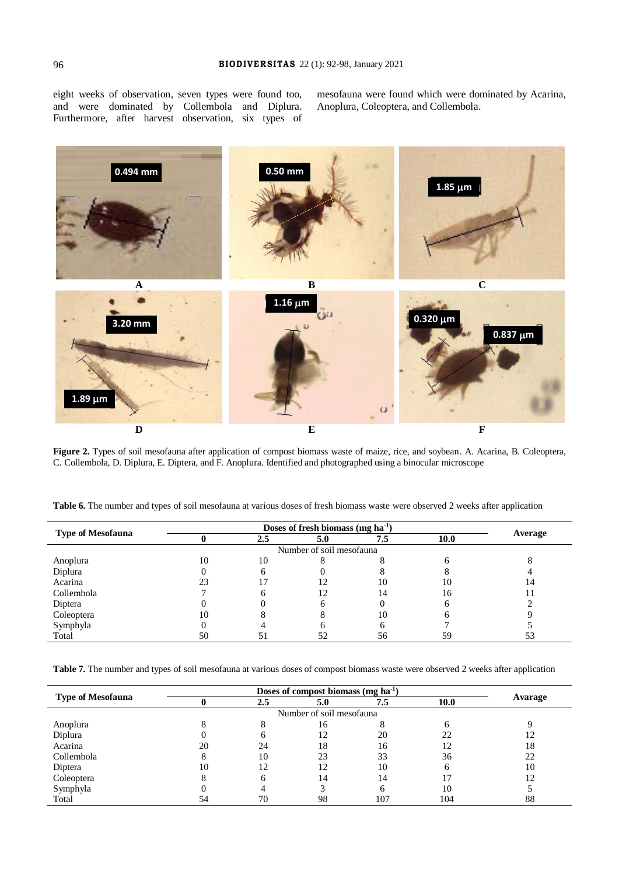eight weeks of observation, seven types were found too, and were dominated by Collembola and Diplura. Furthermore, after harvest observation, six types of mesofauna were found which were dominated by Acarina, Anoplura, Coleoptera, and Collembola.



**Figure 2.** Types of soil mesofauna after application of compost biomass waste of maize, rice, and soybean. A. Acarina, B. Coleoptera, C. Collembola, D. Diplura, E. Diptera, and F. Anoplura. Identified and photographed using a binocular microscope

| <b>Type of Mesofauna</b> | Doses of fresh biomass (mg $ha^{-1}$ ) |     |     |     |      |         |
|--------------------------|----------------------------------------|-----|-----|-----|------|---------|
|                          |                                        | 2.5 | 5.0 | 7.5 | 10.0 | Average |
| Number of soil mesofauna |                                        |     |     |     |      |         |
| Anoplura                 | 10                                     | 10  |     |     |      |         |
| Diplura                  |                                        |     |     |     |      |         |
| Acarina                  | 23                                     |     |     | 10  | 10   |         |
| Collembola               |                                        |     | 12  | 4   | 16   |         |
| Diptera                  |                                        |     |     |     |      |         |
| Coleoptera               | 10                                     |     |     | 10  |      |         |
| Symphyla                 |                                        |     |     |     |      |         |
| Total                    | 50                                     | 5.  |     | 56  | 59   |         |

**Table 6.** The number and types of soil mesofauna at various doses of fresh biomass waste were observed 2 weeks after application

**Table 7.** The number and types of soil mesofauna at various doses of compost biomass waste were observed 2 weeks after application

|                          | Doses of compost biomass $(mg \, ha^{-1})$ |     |     |              |      |         |
|--------------------------|--------------------------------------------|-----|-----|--------------|------|---------|
| <b>Type of Mesofauna</b> |                                            | 2.5 | 5.0 | 7.5          | 10.0 | Avarage |
| Number of soil mesofauna |                                            |     |     |              |      |         |
| Anoplura                 |                                            |     | 16  |              |      |         |
| Diplura                  |                                            | h   | 12  | 20           | 22   |         |
| Acarina                  | 20                                         | 24  | 18  | 16           |      | 18      |
| Collembola               |                                            | 10  | 23  | 33           | 36   | 22      |
| Diptera                  | 10                                         | 12  | 12  | 10           |      | 10      |
| Coleoptera               |                                            | 6   | 14  | 14           |      |         |
| Symphyla                 |                                            |     |     | <sub>0</sub> | 10   |         |
| Total                    |                                            | 70  | 98  | 107          | 104  | 88      |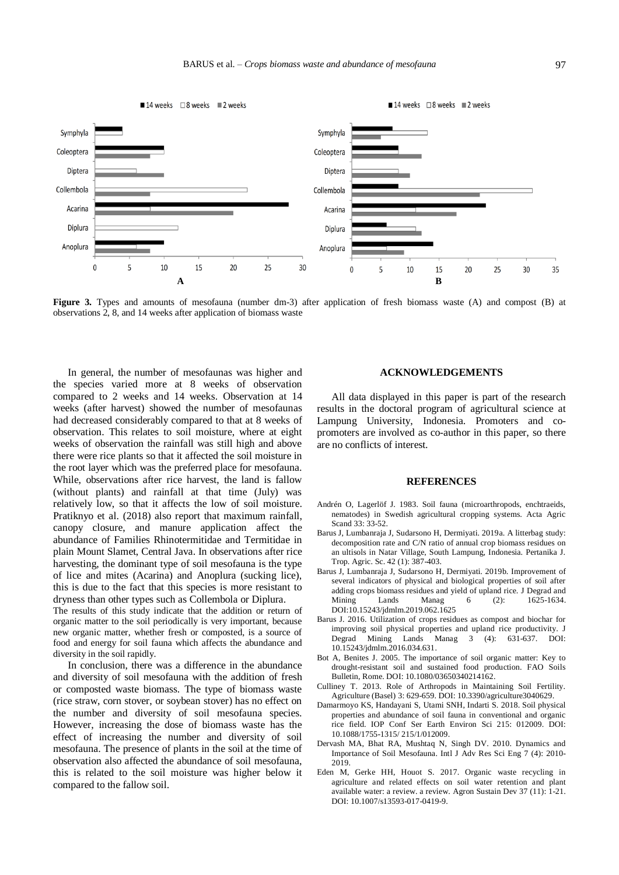

**Figure 3.** Types and amounts of mesofauna (number dm-3) after application of fresh biomass waste (A) and compost (B) at observations 2, 8, and 14 weeks after application of biomass waste

In general, the number of mesofaunas was higher and the species varied more at 8 weeks of observation compared to 2 weeks and 14 weeks. Observation at 14 weeks (after harvest) showed the number of mesofaunas had decreased considerably compared to that at 8 weeks of observation. This relates to soil moisture, where at eight weeks of observation the rainfall was still high and above there were rice plants so that it affected the soil moisture in the root layer which was the preferred place for mesofauna. While, observations after rice harvest, the land is fallow (without plants) and rainfall at that time (July) was relatively low, so that it affects the low of soil moisture. Pratiknyo et al. (2018) also report that maximum rainfall, canopy closure, and manure application affect the abundance of Families Rhinotermitidae and Termitidae in plain Mount Slamet, Central Java. In observations after rice harvesting, the dominant type of soil mesofauna is the type of lice and mites (Acarina) and Anoplura (sucking lice), this is due to the fact that this species is more resistant to dryness than other types such as Collembola or Diplura.

The results of this study indicate that the addition or return of organic matter to the soil periodically is very important, because new organic matter, whether fresh or composted, is a source of food and energy for soil fauna which affects the abundance and diversity in the soil rapidly.

In conclusion, there was a difference in the abundance and diversity of soil mesofauna with the addition of fresh or composted waste biomass. The type of biomass waste (rice straw, corn stover, or soybean stover) has no effect on the number and diversity of soil mesofauna species. However, increasing the dose of biomass waste has the effect of increasing the number and diversity of soil mesofauna. The presence of plants in the soil at the time of observation also affected the abundance of soil mesofauna, this is related to the soil moisture was higher below it compared to the fallow soil.

## **ACKNOWLEDGEMENTS**

All data displayed in this paper is part of the research results in the doctoral program of agricultural science at Lampung University, Indonesia. Promoters and copromoters are involved as co-author in this paper, so there are no conflicts of interest.

## **REFERENCES**

- Andrén O, Lagerlöf J. 1983. Soil fauna (microarthropods, enchtraeids, nematodes) in Swedish agricultural cropping systems. Acta Agric Scand 33: 33-52.
- Barus J, Lumbanraja J, Sudarsono H, Dermiyati. 2019a. A litterbag study: decomposition rate and C/N ratio of annual crop biomass residues on an ultisols in Natar Village, South Lampung, Indonesia. Pertanika J. Trop. Agric. Sc. 42 (1): 387-403.
- Barus J, Lumbanraja J, Sudarsono H, Dermiyati. 2019b. Improvement of several indicators of physical and biological properties of soil after adding crops biomass residues and yield of upland rice. J Degrad and Mining Lands Manag 6 (2): 1625-1634. DOI:10.15243/jdmlm.2019.062.1625
- Barus J. 2016. Utilization of crops residues as compost and biochar for improving soil physical properties and upland rice productivity. J Degrad Mining Lands Manag 3 (4): 631-637. DOI: 10.15243/jdmlm.2016.034.631.
- Bot A, Benites J. 2005. The importance of soil organic matter: Key to drought-resistant soil and sustained food production. FAO Soils Bulletin, Rome. DOI: 10.1080/03650340214162.
- Culliney T. 2013. Role of Arthropods in Maintaining Soil Fertility. Agriculture (Basel) 3: 629-659. DOI: 10.3390/agriculture3040629.
- Damarmoyo KS, Handayani S, Utami SNH, Indarti S. 2018. Soil physical properties and abundance of soil fauna in conventional and organic rice field. IOP Conf Ser Earth Environ Sci 215: 012009. DOI: 10.1088/1755-1315/ 215/1/012009.
- Dervash MA, Bhat RA, Mushtaq N, Singh DV. 2010. Dynamics and Importance of Soil Mesofauna. Intl J Adv Res Sci Eng 7 (4): 2010- 2019.
- Eden M, Gerke HH, Houot S. 2017. Organic waste recycling in agriculture and related effects on soil water retention and plant available water: a review. a review. Agron Sustain Dev 37 (11): 1-21. DOI: 10.1007/s13593-017-0419-9.